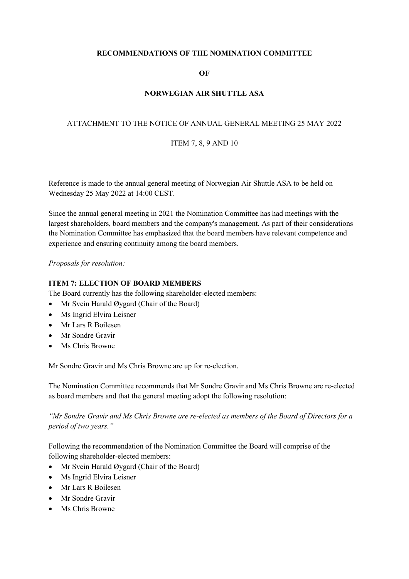## **RECOMMENDATIONS OF THE NOMINATION COMMITTEE**

## **OF**

### **NORWEGIAN AIR SHUTTLE ASA**

#### ATTACHMENT TO THE NOTICE OF ANNUAL GENERAL MEETING 25 MAY 2022

#### ITEM 7, 8, 9 AND 10

Reference is made to the annual general meeting of Norwegian Air Shuttle ASA to be held on Wednesday 25 May 2022 at 14:00 CEST.

Since the annual general meeting in 2021 the Nomination Committee has had meetings with the largest shareholders, board members and the company's management. As part of their considerations the Nomination Committee has emphasized that the board members have relevant competence and experience and ensuring continuity among the board members.

*Proposals for resolution:*

### **ITEM 7: ELECTION OF BOARD MEMBERS**

The Board currently has the following shareholder-elected members:

- Mr Svein Harald Øygard (Chair of the Board)
- Ms Ingrid Elvira Leisner
- Mr Lars R Boilesen
- Mr Sondre Gravir
- Ms Chris Browne

Mr Sondre Gravir and Ms Chris Browne are up for re-election.

The Nomination Committee recommends that Mr Sondre Gravir and Ms Chris Browne are re-elected as board members and that the general meeting adopt the following resolution:

*"Mr Sondre Gravir and Ms Chris Browne are re-elected as members of the Board of Directors for a period of two years."*

Following the recommendation of the Nomination Committee the Board will comprise of the following shareholder-elected members:

- Mr Svein Harald Øygard (Chair of the Board)
- Ms Ingrid Elvira Leisner
- Mr Lars R Boilesen
- Mr Sondre Gravir
- Ms Chris Browne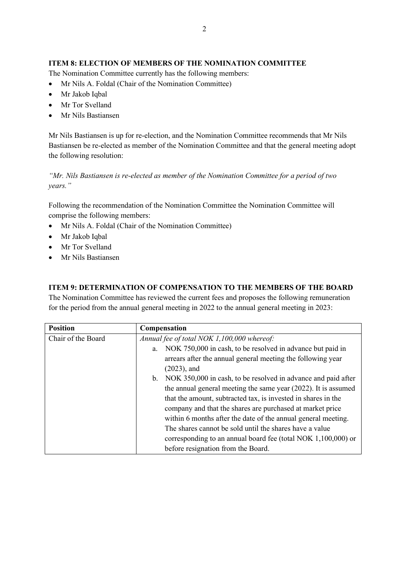## **ITEM 8: ELECTION OF MEMBERS OF THE NOMINATION COMMITTEE**

The Nomination Committee currently has the following members:

- Mr Nils A. Foldal (Chair of the Nomination Committee)
- Mr Jakob Iqbal
- Mr Tor Svelland
- Mr Nils Bastiansen

Mr Nils Bastiansen is up for re-election, and the Nomination Committee recommends that Mr Nils Bastiansen be re-elected as member of the Nomination Committee and that the general meeting adopt the following resolution:

*"Mr. Nils Bastiansen is re-elected as member of the Nomination Committee for a period of two years."*

Following the recommendation of the Nomination Committee the Nomination Committee will comprise the following members:

- Mr Nils A. Foldal (Chair of the Nomination Committee)
- Mr Jakob Iqbal
- Mr Tor Svelland
- Mr Nils Bastiansen

## **ITEM 9: DETERMINATION OF COMPENSATION TO THE MEMBERS OF THE BOARD**

The Nomination Committee has reviewed the current fees and proposes the following remuneration for the period from the annual general meeting in 2022 to the annual general meeting in 2023:

| <b>Position</b>    | Compensation                                                                    |
|--------------------|---------------------------------------------------------------------------------|
| Chair of the Board | Annual fee of total NOK 1,100,000 whereof:                                      |
|                    | NOK 750,000 in cash, to be resolved in advance but paid in<br>a.                |
|                    | arrears after the annual general meeting the following year                     |
|                    | $(2023)$ , and                                                                  |
|                    | NOK 350,000 in cash, to be resolved in advance and paid after<br>$\mathbf{b}$ . |
|                    | the annual general meeting the same year $(2022)$ . It is assumed               |
|                    | that the amount, subtracted tax, is invested in shares in the                   |
|                    | company and that the shares are purchased at market price                       |
|                    | within 6 months after the date of the annual general meeting.                   |
|                    | The shares cannot be sold until the shares have a value                         |
|                    | corresponding to an annual board fee (total NOK $1,100,000$ ) or                |
|                    | before resignation from the Board.                                              |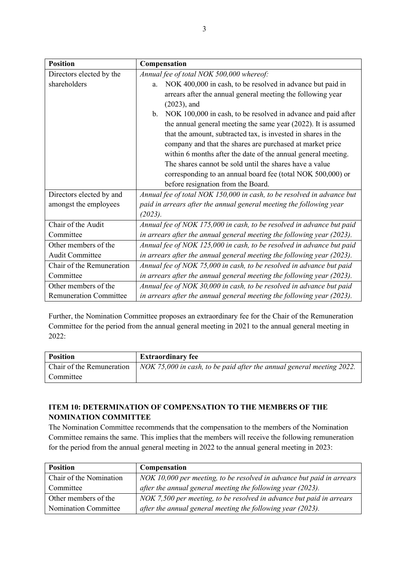| <b>Position</b>               | Compensation                                                           |
|-------------------------------|------------------------------------------------------------------------|
| Directors elected by the      | Annual fee of total NOK 500,000 whereof:                               |
| shareholders                  | NOK 400,000 in cash, to be resolved in advance but paid in<br>a.       |
|                               | arrears after the annual general meeting the following year            |
|                               | $(2023)$ , and                                                         |
|                               | NOK 100,000 in cash, to be resolved in advance and paid after<br>b.    |
|                               | the annual general meeting the same year (2022). It is assumed         |
|                               | that the amount, subtracted tax, is invested in shares in the          |
|                               | company and that the shares are purchased at market price              |
|                               | within 6 months after the date of the annual general meeting.          |
|                               | The shares cannot be sold until the shares have a value                |
|                               | corresponding to an annual board fee (total NOK 500,000) or            |
|                               | before resignation from the Board.                                     |
| Directors elected by and      | Annual fee of total NOK 150,000 in cash, to be resolved in advance but |
| amongst the employees         | paid in arrears after the annual general meeting the following year    |
|                               | (2023).                                                                |
| Chair of the Audit            | Annual fee of NOK 175,000 in cash, to be resolved in advance but paid  |
| Committee                     | in arrears after the annual general meeting the following year (2023). |
| Other members of the          | Annual fee of NOK 125,000 in cash, to be resolved in advance but paid  |
| <b>Audit Committee</b>        | in arrears after the annual general meeting the following year (2023). |
| Chair of the Remuneration     | Annual fee of NOK 75,000 in cash, to be resolved in advance but paid   |
| Committee                     | in arrears after the annual general meeting the following year (2023). |
| Other members of the          | Annual fee of NOK 30,000 in cash, to be resolved in advance but paid   |
| <b>Remuneration Committee</b> | in arrears after the annual general meeting the following year (2023). |

Further, the Nomination Committee proposes an extraordinary fee for the Chair of the Remuneration Committee for the period from the annual general meeting in 2021 to the annual general meeting in 2022:

| <b>Position</b>           | <b>Extraordinary fee</b>                                              |
|---------------------------|-----------------------------------------------------------------------|
| Chair of the Remuneration | NOK 75,000 in cash, to be paid after the annual general meeting 2022. |
| Committee                 |                                                                       |

# **ITEM 10: DETERMINATION OF COMPENSATION TO THE MEMBERS OF THE NOMINATION COMMITTEE**

The Nomination Committee recommends that the compensation to the members of the Nomination Committee remains the same. This implies that the members will receive the following remuneration for the period from the annual general meeting in 2022 to the annual general meeting in 2023:

| <b>Position</b>             | Compensation                                                          |
|-----------------------------|-----------------------------------------------------------------------|
| Chair of the Nomination     | NOK 10,000 per meeting, to be resolved in advance but paid in arrears |
| Committee                   | after the annual general meeting the following year (2023).           |
| Other members of the        | NOK 7,500 per meeting, to be resolved in advance but paid in arrears  |
| <b>Nomination Committee</b> | after the annual general meeting the following year (2023).           |